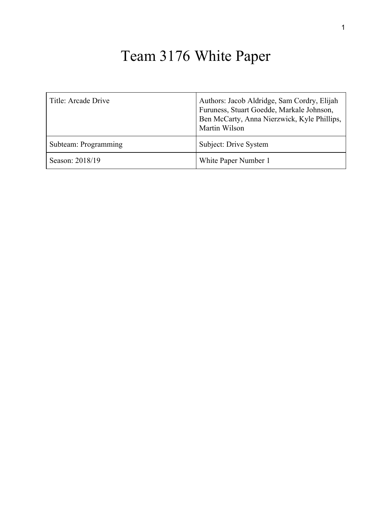# Team 3176 White Paper

| Title: Arcade Drive  | Authors: Jacob Aldridge, Sam Cordry, Elijah<br>Furuness, Stuart Goedde, Markale Johnson,<br>Ben McCarty, Anna Nierzwick, Kyle Phillips,<br>Martin Wilson |
|----------------------|----------------------------------------------------------------------------------------------------------------------------------------------------------|
| Subteam: Programming | Subject: Drive System                                                                                                                                    |
| Season: 2018/19      | White Paper Number 1                                                                                                                                     |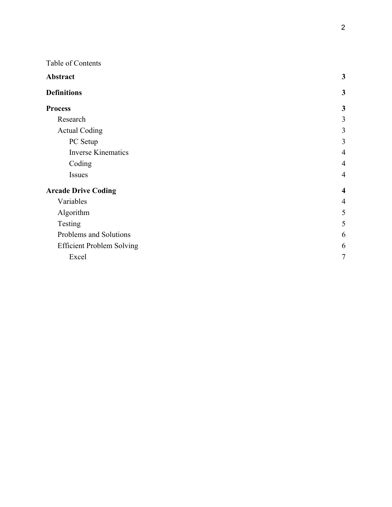#### Table of Contents

| Abstract                         | $\mathbf{3}$            |
|----------------------------------|-------------------------|
| <b>Definitions</b>               | $\mathbf{3}$            |
| <b>Process</b>                   | $\mathbf{3}$            |
| Research                         | 3                       |
| <b>Actual Coding</b>             | 3                       |
| PC Setup                         | $\overline{3}$          |
| <b>Inverse Kinematics</b>        | $\overline{4}$          |
| Coding                           | $\overline{4}$          |
| Issues                           | $\overline{4}$          |
| <b>Arcade Drive Coding</b>       | $\overline{\mathbf{4}}$ |
| Variables                        | $\overline{4}$          |
| Algorithm                        | 5                       |
| Testing                          | 5                       |
| Problems and Solutions           | 6                       |
| <b>Efficient Problem Solving</b> | 6                       |
| Excel                            | $\tau$                  |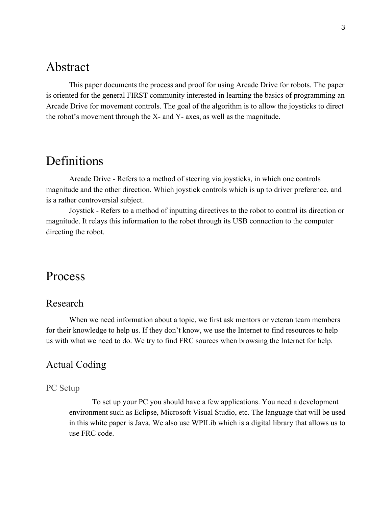# <span id="page-2-0"></span>Abstract

This paper documents the process and proof for using Arcade Drive for robots. The paper is oriented for the general FIRST community interested in learning the basics of programming an Arcade Drive for movement controls. The goal of the algorithm is to allow the joysticks to direct the robot's movement through the X- and Y- axes, as well as the magnitude.

# <span id="page-2-1"></span>Definitions

Arcade Drive - Refers to a method of steering via joysticks, in which one controls magnitude and the other direction. Which joystick controls which is up to driver preference, and is a rather controversial subject.

Joystick - Refers to a method of inputting directives to the robot to control its direction or magnitude. It relays this information to the robot through its USB connection to the computer directing the robot.

# <span id="page-2-2"></span>Process

### <span id="page-2-3"></span>Research

When we need information about a topic, we first ask mentors or veteran team members for their knowledge to help us. If they don't know, we use the Internet to find resources to help us with what we need to do. We try to find FRC sources when browsing the Internet for help.

### <span id="page-2-4"></span>Actual Coding

#### <span id="page-2-5"></span>PC Setup

To set up your PC you should have a few applications. You need a development environment such as Eclipse, Microsoft Visual Studio, etc. The language that will be used in this white paper is Java. We also use WPILib which is a digital library that allows us to use FRC code.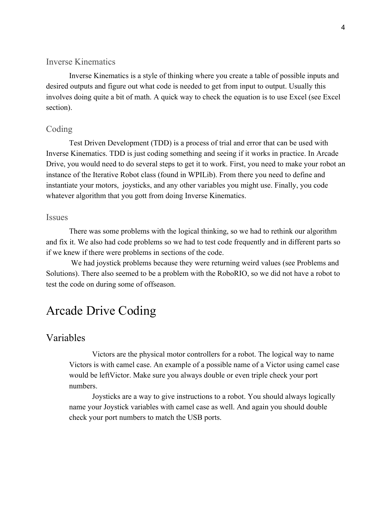#### <span id="page-3-0"></span>Inverse Kinematics

Inverse Kinematics is a style of thinking where you create a table of possible inputs and desired outputs and figure out what code is needed to get from input to output. Usually this involves doing quite a bit of math. A quick way to check the equation is to use Excel (see Excel section).

#### <span id="page-3-1"></span>Coding

Test Driven Development (TDD) is a process of trial and error that can be used with Inverse Kinematics. TDD is just coding something and seeing if it works in practice. In Arcade Drive, you would need to do several steps to get it to work. First, you need to make your robot an instance of the Iterative Robot class (found in WPILib). From there you need to define and instantiate your motors, joysticks, and any other variables you might use. Finally, you code whatever algorithm that you gott from doing Inverse Kinematics.

#### <span id="page-3-2"></span>Issues

There was some problems with the logical thinking, so we had to rethink our algorithm and fix it. We also had code problems so we had to test code frequently and in different parts so if we knew if there were problems in sections of the code.

 We had joystick problems because they were returning weird values (see Problems and Solutions). There also seemed to be a problem with the RoboRIO, so we did not have a robot to test the code on during some of offseason.

# <span id="page-3-3"></span>Arcade Drive Coding

#### <span id="page-3-4"></span>Variables

Victors are the physical motor controllers for a robot. The logical way to name Victors is with camel case. An example of a possible name of a Victor using camel case would be leftVictor. Make sure you always double or even triple check your port numbers.

Joysticks are a way to give instructions to a robot. You should always logically name your Joystick variables with camel case as well. And again you should double check your port numbers to match the USB ports.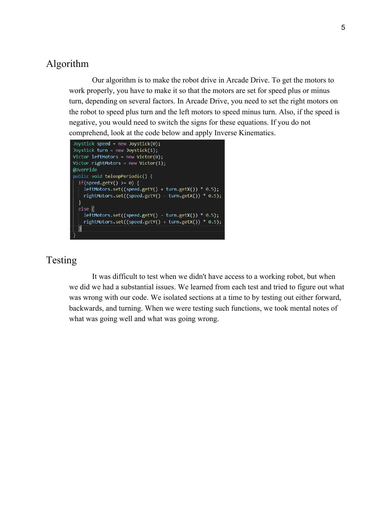### <span id="page-4-0"></span>Algorithm

Our algorithm is to make the robot drive in Arcade Drive. To get the motors to work properly, you have to make it so that the motors are set for speed plus or minus turn, depending on several factors. In Arcade Drive, you need to set the right motors on the robot to speed plus turn and the left motors to speed minus turn. Also, if the speed is negative, you would need to switch the signs for these equations. If you do not comprehend, look at the code below and apply Inverse Kinematics.

```
Joystick speed = new Joystick(0);
Joystick turn = new Joystick(1);
Victor leftMotors = new Victor(0);
Victor rightMotors = new Victor(1);
@Override
public void teleopPeriodic() {
 if(speed.getY() >= 0) {
   leftMotors.set((speed.getY() + turn.getX()) * 0.5);
   rightMotors.set((speed.getY() - turn.getX()) * 0.5);
 else\left\{ \right\}leftMotors.set((speed.getY() - turn.getX()) * 0.5);
   rightMotors.set((speed.getY() + turn.getX()) * 0.5);
  }
```
# <span id="page-4-1"></span>Testing

It was difficult to test when we didn't have access to a working robot, but when we did we had a substantial issues. We learned from each test and tried to figure out what was wrong with our code. We isolated sections at a time to by testing out either forward, backwards, and turning. When we were testing such functions, we took mental notes of what was going well and what was going wrong.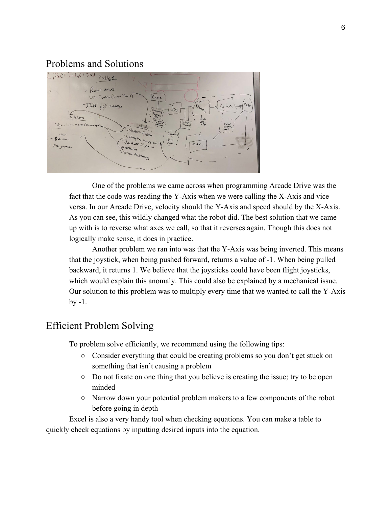### <span id="page-5-0"></span>Problems and Solutions



One of the problems we came across when programming Arcade Drive was the fact that the code was reading the Y-Axis when we were calling the X-Axis and vice versa. In our Arcade Drive, velocity should the Y-Axis and speed should by the X-Axis. As you can see, this wildly changed what the robot did. The best solution that we came up with is to reverse what axes we call, so that it reverses again. Though this does not logically make sense, it does in practice.

Another problem we ran into was that the Y-Axis was being inverted. This means that the joystick, when being pushed forward, returns a value of -1. When being pulled backward, it returns 1. We believe that the joysticks could have been flight joysticks, which would explain this anomaly. This could also be explained by a mechanical issue. Our solution to this problem was to multiply every time that we wanted to call the Y-Axis by -1.

# <span id="page-5-1"></span>Efficient Problem Solving

To problem solve efficiently, we recommend using the following tips:

- Consider everything that could be creating problems so you don't get stuck on something that isn't causing a problem
- Do not fixate on one thing that you believe is creating the issue; try to be open minded
- Narrow down your potential problem makers to a few components of the robot before going in depth

Excel is also a very handy tool when checking equations. You can make a table to quickly check equations by inputting desired inputs into the equation.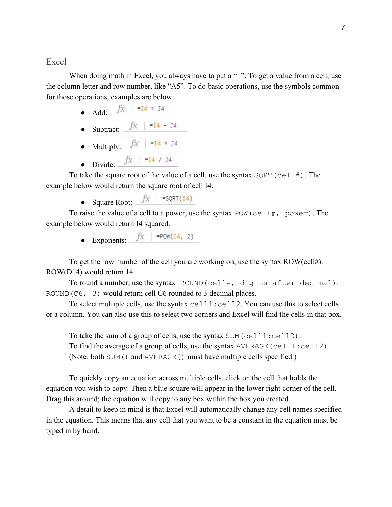<span id="page-6-0"></span>Excel

When doing math in Excel, you always have to put a "=". To get a value from a cell, use the column letter and row number, like "A5". To do basic operations, use the symbols common for those operations, examples are below.

- Add:
- Subtract:
- Multiply:

● Divide:

To take the square root of the value of a cell, use the syntax  $SQRT$  (cell#). The example below would return the square root of cell I4.

• Square Root:  $\hat{f}$  = =  $\frac{5}{x}$  =  $\frac{5}{x}$ 

To raise the value of a cell to a power, use the syntax POW(cell#, power). The example below would return I4 squared.

• Exponents:  $\int \hat{x}$  =POW(14, 2)

To get the row number of the cell you are working on, use the syntax ROW(cell#). ROW(D14) would return 14.

To round a number, use the syntax ROUND(cell#, digits after decimal). ROUND(C6, 3) would return cell C6 rounded to 3 decimal places.

To select multiple cells, use the syntax  $cell1:cell2$ . You can use this to select cells or a column. You can also use this to select two corners and Excel will find the cells in that box.

To take the sum of a group of cells, use the syntax SUM (cell1:cell2). To find the average of a group of cells, use the syntax AVERAGE(cell1:cell2). (Note: both SUM() and AVERAGE() must have multiple cells specified.)

To quickly copy an equation across multiple cells, click on the cell that holds the equation you wish to copy. Then a blue square will appear in the lower right corner of the cell. Drag this around; the equation will copy to any box within the box you created.

A detail to keep in mind is that Excel will automatically change any cell names specified in the equation. This means that any cell that you want to be a constant in the equation must be typed in by hand.